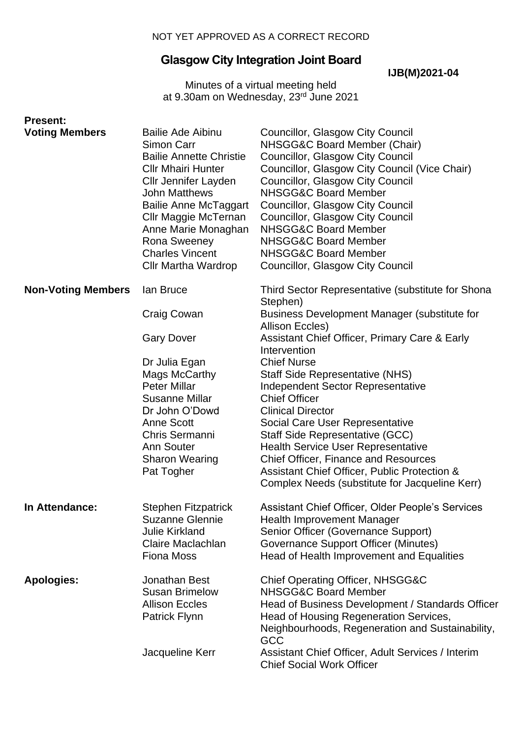# **Glasgow City Integration Joint Board**

**IJB(M)2021-04**

Minutes of a virtual meeting held at 9.30am on Wednesday, 23<sup>rd</sup> June 2021

| <b>Present:</b>           |                                                                                                                                                                                                                                                                                                                     |                                                                                                                                                                                                                                                                                                                                                                                                                                                                        |
|---------------------------|---------------------------------------------------------------------------------------------------------------------------------------------------------------------------------------------------------------------------------------------------------------------------------------------------------------------|------------------------------------------------------------------------------------------------------------------------------------------------------------------------------------------------------------------------------------------------------------------------------------------------------------------------------------------------------------------------------------------------------------------------------------------------------------------------|
| <b>Voting Members</b>     | <b>Bailie Ade Aibinu</b><br>Simon Carr<br><b>Bailie Annette Christie</b><br><b>Cllr Mhairi Hunter</b><br><b>Cllr Jennifer Layden</b><br><b>John Matthews</b><br><b>Bailie Anne McTaggart</b><br>Cllr Maggie McTernan<br>Anne Marie Monaghan<br>Rona Sweeney<br><b>Charles Vincent</b><br><b>Cllr Martha Wardrop</b> | Councillor, Glasgow City Council<br>NHSGG&C Board Member (Chair)<br>Councillor, Glasgow City Council<br>Councillor, Glasgow City Council (Vice Chair)<br><b>Councillor, Glasgow City Council</b><br><b>NHSGG&amp;C Board Member</b><br>Councillor, Glasgow City Council<br><b>Councillor, Glasgow City Council</b><br><b>NHSGG&amp;C Board Member</b><br><b>NHSGG&amp;C Board Member</b><br><b>NHSGG&amp;C Board Member</b><br><b>Councillor, Glasgow City Council</b> |
| <b>Non-Voting Members</b> | lan Bruce                                                                                                                                                                                                                                                                                                           | Third Sector Representative (substitute for Shona<br>Stephen)                                                                                                                                                                                                                                                                                                                                                                                                          |
|                           | <b>Craig Cowan</b>                                                                                                                                                                                                                                                                                                  | Business Development Manager (substitute for<br>Allison Eccles)                                                                                                                                                                                                                                                                                                                                                                                                        |
|                           | <b>Gary Dover</b>                                                                                                                                                                                                                                                                                                   | Assistant Chief Officer, Primary Care & Early<br>Intervention                                                                                                                                                                                                                                                                                                                                                                                                          |
|                           | Dr Julia Egan                                                                                                                                                                                                                                                                                                       | <b>Chief Nurse</b>                                                                                                                                                                                                                                                                                                                                                                                                                                                     |
|                           | Mags McCarthy                                                                                                                                                                                                                                                                                                       | <b>Staff Side Representative (NHS)</b>                                                                                                                                                                                                                                                                                                                                                                                                                                 |
|                           | <b>Peter Millar</b><br><b>Susanne Millar</b>                                                                                                                                                                                                                                                                        | <b>Independent Sector Representative</b><br><b>Chief Officer</b>                                                                                                                                                                                                                                                                                                                                                                                                       |
|                           | Dr John O'Dowd                                                                                                                                                                                                                                                                                                      | <b>Clinical Director</b>                                                                                                                                                                                                                                                                                                                                                                                                                                               |
|                           | <b>Anne Scott</b>                                                                                                                                                                                                                                                                                                   | Social Care User Representative                                                                                                                                                                                                                                                                                                                                                                                                                                        |
|                           | Chris Sermanni                                                                                                                                                                                                                                                                                                      | Staff Side Representative (GCC)                                                                                                                                                                                                                                                                                                                                                                                                                                        |
|                           | <b>Ann Souter</b>                                                                                                                                                                                                                                                                                                   | <b>Health Service User Representative</b>                                                                                                                                                                                                                                                                                                                                                                                                                              |
|                           | <b>Sharon Wearing</b>                                                                                                                                                                                                                                                                                               | <b>Chief Officer, Finance and Resources</b>                                                                                                                                                                                                                                                                                                                                                                                                                            |
|                           | Pat Togher                                                                                                                                                                                                                                                                                                          | Assistant Chief Officer, Public Protection &                                                                                                                                                                                                                                                                                                                                                                                                                           |
|                           |                                                                                                                                                                                                                                                                                                                     | Complex Needs (substitute for Jacqueline Kerr)                                                                                                                                                                                                                                                                                                                                                                                                                         |
| In Attendance:            | <b>Stephen Fitzpatrick</b>                                                                                                                                                                                                                                                                                          | Assistant Chief Officer, Older People's Services                                                                                                                                                                                                                                                                                                                                                                                                                       |
|                           | <b>Suzanne Glennie</b>                                                                                                                                                                                                                                                                                              | <b>Health Improvement Manager</b>                                                                                                                                                                                                                                                                                                                                                                                                                                      |
|                           | <b>Julie Kirkland</b>                                                                                                                                                                                                                                                                                               | Senior Officer (Governance Support)                                                                                                                                                                                                                                                                                                                                                                                                                                    |
|                           | Claire Maclachlan                                                                                                                                                                                                                                                                                                   | Governance Support Officer (Minutes)                                                                                                                                                                                                                                                                                                                                                                                                                                   |
|                           | <b>Fiona Moss</b>                                                                                                                                                                                                                                                                                                   | Head of Health Improvement and Equalities                                                                                                                                                                                                                                                                                                                                                                                                                              |
| <b>Apologies:</b>         | Jonathan Best                                                                                                                                                                                                                                                                                                       | Chief Operating Officer, NHSGG&C                                                                                                                                                                                                                                                                                                                                                                                                                                       |
|                           | <b>Susan Brimelow</b>                                                                                                                                                                                                                                                                                               | <b>NHSGG&amp;C Board Member</b>                                                                                                                                                                                                                                                                                                                                                                                                                                        |
|                           | <b>Allison Eccles</b>                                                                                                                                                                                                                                                                                               | Head of Business Development / Standards Officer                                                                                                                                                                                                                                                                                                                                                                                                                       |
|                           | Patrick Flynn                                                                                                                                                                                                                                                                                                       | Head of Housing Regeneration Services,<br>Neighbourhoods, Regeneration and Sustainability,                                                                                                                                                                                                                                                                                                                                                                             |
|                           |                                                                                                                                                                                                                                                                                                                     | GCC                                                                                                                                                                                                                                                                                                                                                                                                                                                                    |
|                           | Jacqueline Kerr                                                                                                                                                                                                                                                                                                     | Assistant Chief Officer, Adult Services / Interim                                                                                                                                                                                                                                                                                                                                                                                                                      |
|                           |                                                                                                                                                                                                                                                                                                                     | <b>Chief Social Work Officer</b>                                                                                                                                                                                                                                                                                                                                                                                                                                       |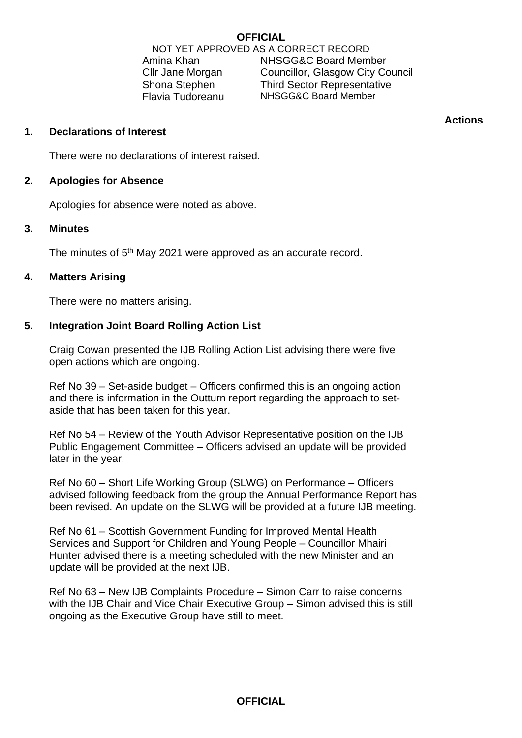### **OFFICIAL**

NOT YET APPROVED AS A CORRECT RECORD Amina Khan NHSGG&C Board Member Cllr Jane Morgan Councillor, Glasgow City Council Shona Stephen Third Sector Representative Flavia Tudoreanu NHSGG&C Board Member

**Actions**

### **1. Declarations of Interest**

There were no declarations of interest raised.

# **2. Apologies for Absence**

Apologies for absence were noted as above.

### **3. Minutes**

The minutes of 5<sup>th</sup> May 2021 were approved as an accurate record.

### **4. Matters Arising**

There were no matters arising.

# **5. Integration Joint Board Rolling Action List**

Craig Cowan presented the IJB Rolling Action List advising there were five open actions which are ongoing.

Ref No 39 – Set-aside budget – Officers confirmed this is an ongoing action and there is information in the Outturn report regarding the approach to setaside that has been taken for this year.

Ref No 54 – Review of the Youth Advisor Representative position on the IJB Public Engagement Committee – Officers advised an update will be provided later in the year.

Ref No 60 – Short Life Working Group (SLWG) on Performance – Officers advised following feedback from the group the Annual Performance Report has been revised. An update on the SLWG will be provided at a future IJB meeting.

Ref No 61 – Scottish Government Funding for Improved Mental Health Services and Support for Children and Young People – Councillor Mhairi Hunter advised there is a meeting scheduled with the new Minister and an update will be provided at the next IJB.

Ref No 63 – New IJB Complaints Procedure – Simon Carr to raise concerns with the IJB Chair and Vice Chair Executive Group – Simon advised this is still ongoing as the Executive Group have still to meet.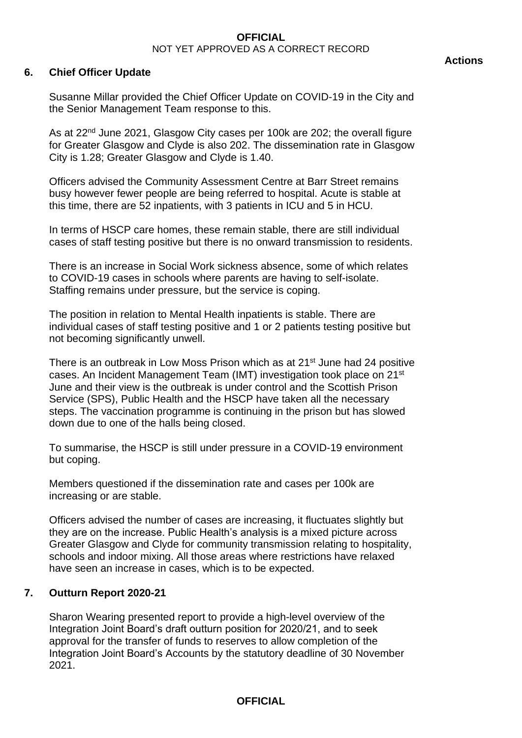#### **6. Chief Officer Update**

Susanne Millar provided the Chief Officer Update on COVID-19 in the City and the Senior Management Team response to this.

As at 22<sup>nd</sup> June 2021, Glasgow City cases per 100k are 202; the overall figure for Greater Glasgow and Clyde is also 202. The dissemination rate in Glasgow City is 1.28; Greater Glasgow and Clyde is 1.40.

Officers advised the Community Assessment Centre at Barr Street remains busy however fewer people are being referred to hospital. Acute is stable at this time, there are 52 inpatients, with 3 patients in ICU and 5 in HCU.

In terms of HSCP care homes, these remain stable, there are still individual cases of staff testing positive but there is no onward transmission to residents.

There is an increase in Social Work sickness absence, some of which relates to COVID-19 cases in schools where parents are having to self-isolate. Staffing remains under pressure, but the service is coping.

The position in relation to Mental Health inpatients is stable. There are individual cases of staff testing positive and 1 or 2 patients testing positive but not becoming significantly unwell.

There is an outbreak in Low Moss Prison which as at 21<sup>st</sup> June had 24 positive cases. An Incident Management Team (IMT) investigation took place on 21st June and their view is the outbreak is under control and the Scottish Prison Service (SPS), Public Health and the HSCP have taken all the necessary steps. The vaccination programme is continuing in the prison but has slowed down due to one of the halls being closed.

To summarise, the HSCP is still under pressure in a COVID-19 environment but coping.

Members questioned if the dissemination rate and cases per 100k are increasing or are stable.

Officers advised the number of cases are increasing, it fluctuates slightly but they are on the increase. Public Health's analysis is a mixed picture across Greater Glasgow and Clyde for community transmission relating to hospitality, schools and indoor mixing. All those areas where restrictions have relaxed have seen an increase in cases, which is to be expected.

### **7. Outturn Report 2020-21**

Sharon Wearing presented report to provide a high-level overview of the Integration Joint Board's draft outturn position for 2020/21, and to seek approval for the transfer of funds to reserves to allow completion of the Integration Joint Board's Accounts by the statutory deadline of 30 November 2021.

#### **Actions**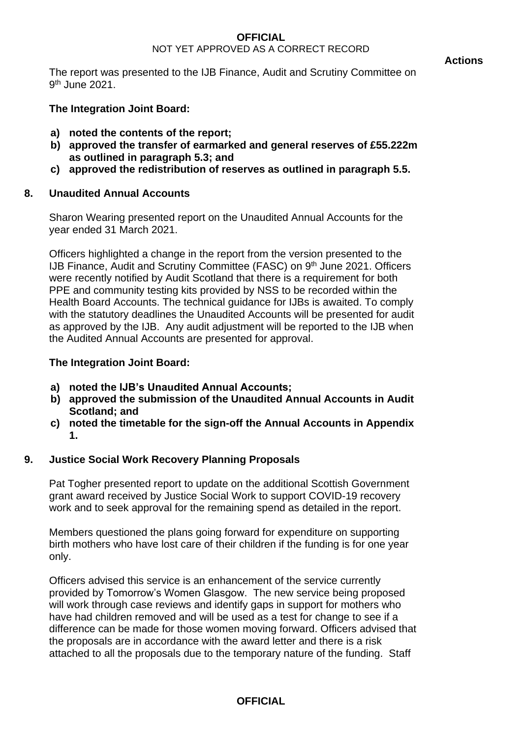The report was presented to the IJB Finance, Audit and Scrutiny Committee on 9<sup>th</sup> June 2021.

# **The Integration Joint Board:**

- **a) noted the contents of the report;**
- **b) approved the transfer of earmarked and general reserves of £55.222m as outlined in paragraph 5.3; and**
- **c) approved the redistribution of reserves as outlined in paragraph 5.5.**

# **8. Unaudited Annual Accounts**

Sharon Wearing presented report on the Unaudited Annual Accounts for the year ended 31 March 2021.

Officers highlighted a change in the report from the version presented to the IJB Finance, Audit and Scrutiny Committee (FASC) on 9<sup>th</sup> June 2021. Officers were recently notified by Audit Scotland that there is a requirement for both PPE and community testing kits provided by NSS to be recorded within the Health Board Accounts. The technical guidance for IJBs is awaited. To comply with the statutory deadlines the Unaudited Accounts will be presented for audit as approved by the IJB. Any audit adjustment will be reported to the IJB when the Audited Annual Accounts are presented for approval.

# **The Integration Joint Board:**

- **a) noted the IJB's Unaudited Annual Accounts;**
- **b) approved the submission of the Unaudited Annual Accounts in Audit Scotland; and**
- **c) noted the timetable for the sign-off the Annual Accounts in Appendix 1.**

# **9. Justice Social Work Recovery Planning Proposals**

Pat Togher presented report to update on the additional Scottish Government grant award received by Justice Social Work to support COVID-19 recovery work and to seek approval for the remaining spend as detailed in the report.

Members questioned the plans going forward for expenditure on supporting birth mothers who have lost care of their children if the funding is for one year only.

Officers advised this service is an enhancement of the service currently provided by Tomorrow's Women Glasgow. The new service being proposed will work through case reviews and identify gaps in support for mothers who have had children removed and will be used as a test for change to see if a difference can be made for those women moving forward. Officers advised that the proposals are in accordance with the award letter and there is a risk attached to all the proposals due to the temporary nature of the funding. Staff

# **OFFICIAL**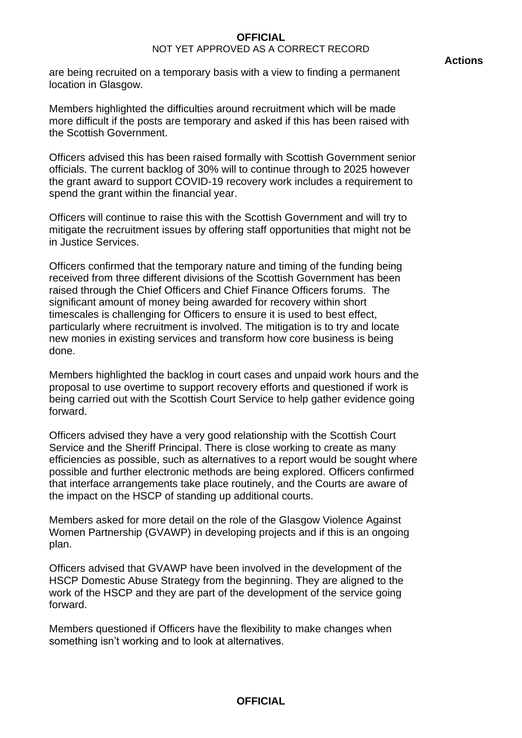are being recruited on a temporary basis with a view to finding a permanent location in Glasgow.

Officers advised this has been raised formally with Scottish Government senior officials. The current backlog of 30% will to continue through to 2025 however the grant award to support COVID-19 recovery work includes a requirement to spend the grant within the financial year.

Officers will continue to raise this with the Scottish Government and will try to mitigate the recruitment issues by offering staff opportunities that might not be in Justice Services.

Officers confirmed that the temporary nature and timing of the funding being received from three different divisions of the Scottish Government has been raised through the Chief Officers and Chief Finance Officers forums. The significant amount of money being awarded for recovery within short timescales is challenging for Officers to ensure it is used to best effect, particularly where recruitment is involved. The mitigation is to try and locate new monies in existing services and transform how core business is being done.

Members highlighted the backlog in court cases and unpaid work hours and the proposal to use overtime to support recovery efforts and questioned if work is being carried out with the Scottish Court Service to help gather evidence going forward.

Officers advised they have a very good relationship with the Scottish Court Service and the Sheriff Principal. There is close working to create as many efficiencies as possible, such as alternatives to a report would be sought where possible and further electronic methods are being explored. Officers confirmed that interface arrangements take place routinely, and the Courts are aware of the impact on the HSCP of standing up additional courts.

Members asked for more detail on the role of the Glasgow Violence Against Women Partnership (GVAWP) in developing projects and if this is an ongoing plan.

Officers advised that GVAWP have been involved in the development of the HSCP Domestic Abuse Strategy from the beginning. They are aligned to the work of the HSCP and they are part of the development of the service going forward.

Members questioned if Officers have the flexibility to make changes when something isn't working and to look at alternatives.

#### **Actions**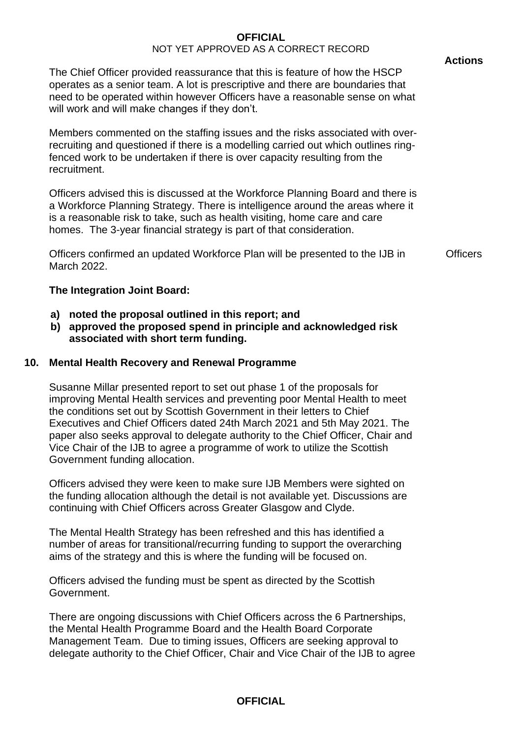The Chief Officer provided reassurance that this is feature of how the HSCP operates as a senior team. A lot is prescriptive and there are boundaries that need to be operated within however Officers have a reasonable sense on what will work and will make changes if they don't.

Members commented on the staffing issues and the risks associated with overrecruiting and questioned if there is a modelling carried out which outlines ringfenced work to be undertaken if there is over capacity resulting from the recruitment.

Officers advised this is discussed at the Workforce Planning Board and there is a Workforce Planning Strategy. There is intelligence around the areas where it is a reasonable risk to take, such as health visiting, home care and care homes. The 3-year financial strategy is part of that consideration.

Officers confirmed an updated Workforce Plan will be presented to the IJB in March 2022.

**Officers** 

### **The Integration Joint Board:**

- **a) noted the proposal outlined in this report; and**
- **b) approved the proposed spend in principle and acknowledged risk associated with short term funding.**

### **10. Mental Health Recovery and Renewal Programme**

Susanne Millar presented report to set out phase 1 of the proposals for improving Mental Health services and preventing poor Mental Health to meet the conditions set out by Scottish Government in their letters to Chief Executives and Chief Officers dated 24th March 2021 and 5th May 2021. The paper also seeks approval to delegate authority to the Chief Officer, Chair and Vice Chair of the IJB to agree a programme of work to utilize the Scottish Government funding allocation.

Officers advised they were keen to make sure IJB Members were sighted on the funding allocation although the detail is not available yet. Discussions are continuing with Chief Officers across Greater Glasgow and Clyde.

The Mental Health Strategy has been refreshed and this has identified a number of areas for transitional/recurring funding to support the overarching aims of the strategy and this is where the funding will be focused on.

Officers advised the funding must be spent as directed by the Scottish Government.

There are ongoing discussions with Chief Officers across the 6 Partnerships, the Mental Health Programme Board and the Health Board Corporate Management Team. Due to timing issues, Officers are seeking approval to delegate authority to the Chief Officer, Chair and Vice Chair of the IJB to agree

# **OFFICIAL**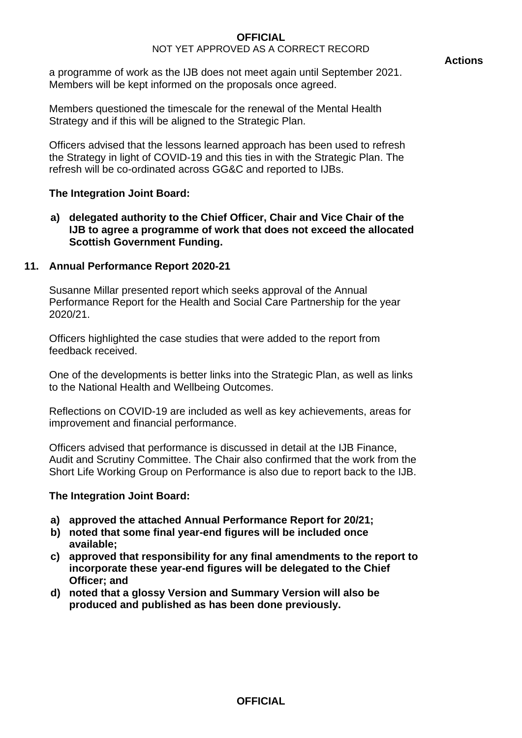a programme of work as the IJB does not meet again until September 2021. Members will be kept informed on the proposals once agreed.

Members questioned the timescale for the renewal of the Mental Health Strategy and if this will be aligned to the Strategic Plan.

Officers advised that the lessons learned approach has been used to refresh the Strategy in light of COVID-19 and this ties in with the Strategic Plan. The refresh will be co-ordinated across GG&C and reported to IJBs.

# **The Integration Joint Board:**

**a) delegated authority to the Chief Officer, Chair and Vice Chair of the IJB to agree a programme of work that does not exceed the allocated Scottish Government Funding.** 

# **11. Annual Performance Report 2020-21**

Susanne Millar presented report which seeks approval of the Annual Performance Report for the Health and Social Care Partnership for the year 2020/21.

Officers highlighted the case studies that were added to the report from feedback received.

One of the developments is better links into the Strategic Plan, as well as links to the National Health and Wellbeing Outcomes.

Reflections on COVID-19 are included as well as key achievements, areas for improvement and financial performance.

Officers advised that performance is discussed in detail at the IJB Finance, Audit and Scrutiny Committee. The Chair also confirmed that the work from the Short Life Working Group on Performance is also due to report back to the IJB.

# **The Integration Joint Board:**

- **a) approved the attached Annual Performance Report for 20/21;**
- **b) noted that some final year-end figures will be included once available;**
- **c) approved that responsibility for any final amendments to the report to incorporate these year-end figures will be delegated to the Chief Officer; and**
- **d) noted that a glossy Version and Summary Version will also be produced and published as has been done previously.**

# **OFFICIAL**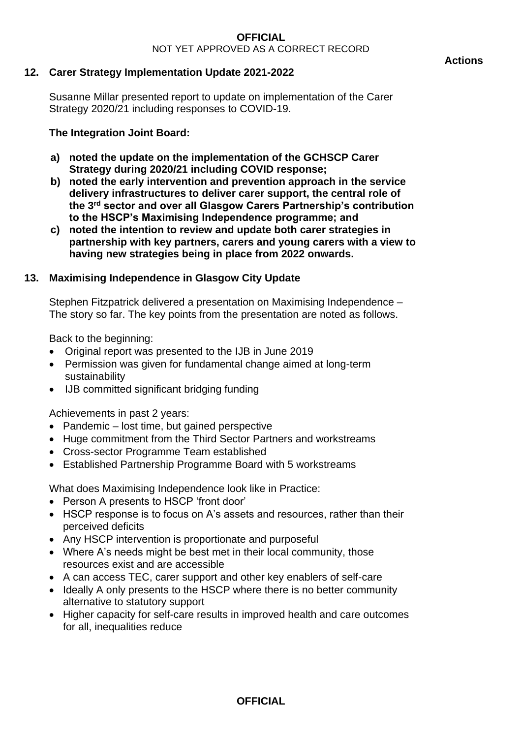# **12. Carer Strategy Implementation Update 2021-2022**

Susanne Millar presented report to update on implementation of the Carer Strategy 2020/21 including responses to COVID-19.

# **The Integration Joint Board:**

- **a) noted the update on the implementation of the GCHSCP Carer Strategy during 2020/21 including COVID response;**
- **b) noted the early intervention and prevention approach in the service delivery infrastructures to deliver carer support, the central role of the 3rd sector and over all Glasgow Carers Partnership's contribution to the HSCP's Maximising Independence programme; and**
- **c) noted the intention to review and update both carer strategies in partnership with key partners, carers and young carers with a view to having new strategies being in place from 2022 onwards.**

# **13. Maximising Independence in Glasgow City Update**

Stephen Fitzpatrick delivered a presentation on Maximising Independence – The story so far. The key points from the presentation are noted as follows.

Back to the beginning:

- Original report was presented to the IJB in June 2019
- Permission was given for fundamental change aimed at long-term sustainability
- IJB committed significant bridging funding

Achievements in past 2 years:

- Pandemic lost time, but gained perspective
- Huge commitment from the Third Sector Partners and workstreams
- Cross-sector Programme Team established
- Established Partnership Programme Board with 5 workstreams

What does Maximising Independence look like in Practice:

- Person A presents to HSCP 'front door'
- HSCP response is to focus on A's assets and resources, rather than their perceived deficits
- Any HSCP intervention is proportionate and purposeful
- Where A's needs might be best met in their local community, those resources exist and are accessible
- A can access TEC, carer support and other key enablers of self-care
- Ideally A only presents to the HSCP where there is no better community alternative to statutory support
- Higher capacity for self-care results in improved health and care outcomes for all, inequalities reduce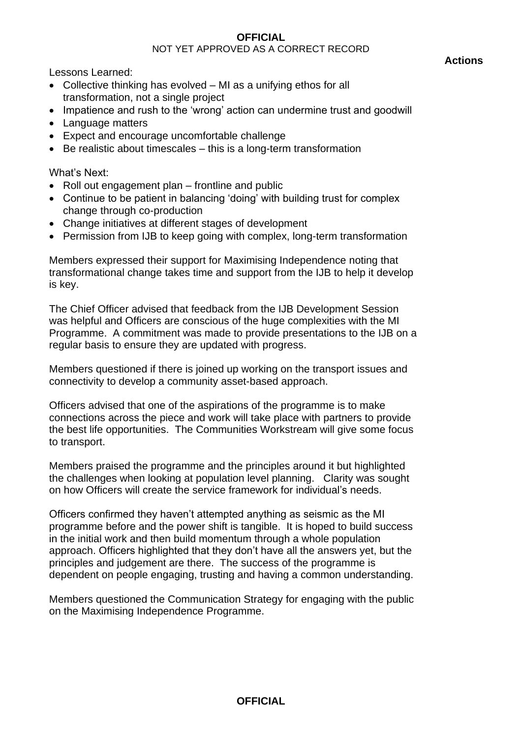# **OFFICIAL**

### NOT YET APPROVED AS A CORRECT RECORD

Lessons Learned:

- Collective thinking has evolved MI as a unifying ethos for all transformation, not a single project
- Impatience and rush to the 'wrong' action can undermine trust and goodwill
- Language matters
- Expect and encourage uncomfortable challenge
- Be realistic about timescales this is a long-term transformation

What's Next:

- Roll out engagement plan frontline and public
- Continue to be patient in balancing 'doing' with building trust for complex change through co-production
- Change initiatives at different stages of development
- Permission from IJB to keep going with complex, long-term transformation

Members expressed their support for Maximising Independence noting that transformational change takes time and support from the IJB to help it develop is key.

The Chief Officer advised that feedback from the IJB Development Session was helpful and Officers are conscious of the huge complexities with the MI Programme. A commitment was made to provide presentations to the IJB on a regular basis to ensure they are updated with progress.

Members questioned if there is joined up working on the transport issues and connectivity to develop a community asset-based approach.

Officers advised that one of the aspirations of the programme is to make connections across the piece and work will take place with partners to provide the best life opportunities. The Communities Workstream will give some focus to transport.

Members praised the programme and the principles around it but highlighted the challenges when looking at population level planning. Clarity was sought on how Officers will create the service framework for individual's needs.

Officers confirmed they haven't attempted anything as seismic as the MI programme before and the power shift is tangible. It is hoped to build success in the initial work and then build momentum through a whole population approach. Officers highlighted that they don't have all the answers yet, but the principles and judgement are there. The success of the programme is dependent on people engaging, trusting and having a common understanding.

Members questioned the Communication Strategy for engaging with the public on the Maximising Independence Programme.

**OFFICIAL**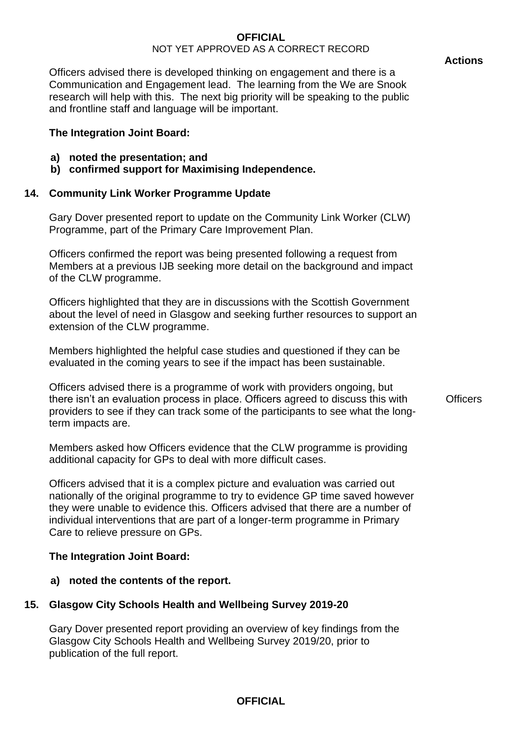#### **Actions**

Officers advised there is developed thinking on engagement and there is a Communication and Engagement lead. The learning from the We are Snook research will help with this. The next big priority will be speaking to the public and frontline staff and language will be important.

### **The Integration Joint Board:**

- **a) noted the presentation; and**
- **b) confirmed support for Maximising Independence.**

# **14. Community Link Worker Programme Update**

Gary Dover presented report to update on the Community Link Worker (CLW) Programme, part of the Primary Care Improvement Plan.

Officers confirmed the report was being presented following a request from Members at a previous IJB seeking more detail on the background and impact of the CLW programme.

Officers highlighted that they are in discussions with the Scottish Government about the level of need in Glasgow and seeking further resources to support an extension of the CLW programme.

Members highlighted the helpful case studies and questioned if they can be evaluated in the coming years to see if the impact has been sustainable.

Officers advised there is a programme of work with providers ongoing, but there isn't an evaluation process in place. Officers agreed to discuss this with providers to see if they can track some of the participants to see what the longterm impacts are.

Members asked how Officers evidence that the CLW programme is providing additional capacity for GPs to deal with more difficult cases.

Officers advised that it is a complex picture and evaluation was carried out nationally of the original programme to try to evidence GP time saved however they were unable to evidence this. Officers advised that there are a number of individual interventions that are part of a longer-term programme in Primary Care to relieve pressure on GPs.

# **The Integration Joint Board:**

# **a) noted the contents of the report.**

# **15. Glasgow City Schools Health and Wellbeing Survey 2019-20**

Gary Dover presented report providing an overview of key findings from the Glasgow City Schools Health and Wellbeing Survey 2019/20, prior to publication of the full report.

# **OFFICIAL**

**Officers**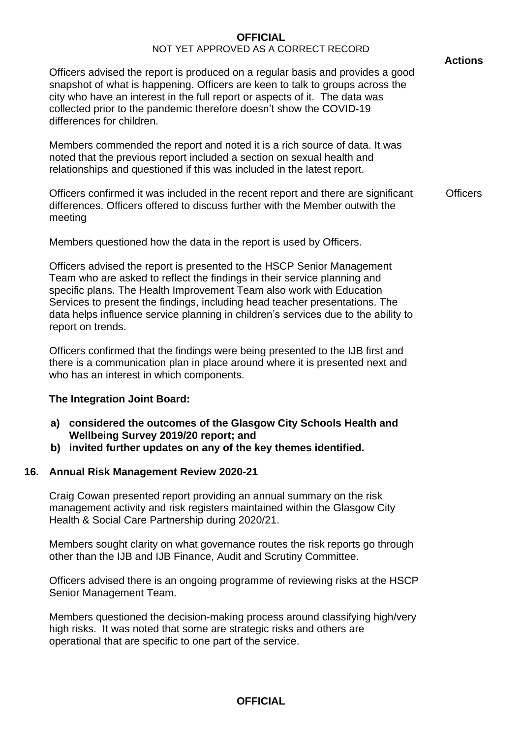Officers advised the report is produced on a regular basis and provides a good snapshot of what is happening. Officers are keen to talk to groups across the city who have an interest in the full report or aspects of it. The data was collected prior to the pandemic therefore doesn't show the COVID-19 differences for children.

Members commended the report and noted it is a rich source of data. It was noted that the previous report included a section on sexual health and relationships and questioned if this was included in the latest report.

Officers confirmed it was included in the recent report and there are significant differences. Officers offered to discuss further with the Member outwith the meeting **Officers** 

Members questioned how the data in the report is used by Officers.

Officers advised the report is presented to the HSCP Senior Management Team who are asked to reflect the findings in their service planning and specific plans. The Health Improvement Team also work with Education Services to present the findings, including head teacher presentations. The data helps influence service planning in children's services due to the ability to report on trends.

Officers confirmed that the findings were being presented to the IJB first and there is a communication plan in place around where it is presented next and who has an interest in which components.

# **The Integration Joint Board:**

- **a) considered the outcomes of the Glasgow City Schools Health and Wellbeing Survey 2019/20 report; and**
- **b) invited further updates on any of the key themes identified.**

# **16. Annual Risk Management Review 2020-21**

Craig Cowan presented report providing an annual summary on the risk management activity and risk registers maintained within the Glasgow City Health & Social Care Partnership during 2020/21.

Members sought clarity on what governance routes the risk reports go through other than the IJB and IJB Finance, Audit and Scrutiny Committee.

Officers advised there is an ongoing programme of reviewing risks at the HSCP Senior Management Team.

Members questioned the decision-making process around classifying high/very high risks. It was noted that some are strategic risks and others are operational that are specific to one part of the service.

# **OFFICIAL**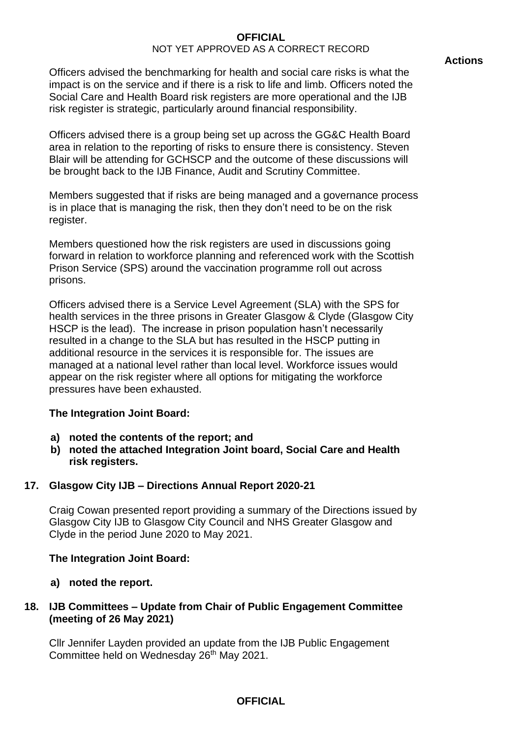Officers advised the benchmarking for health and social care risks is what the impact is on the service and if there is a risk to life and limb. Officers noted the Social Care and Health Board risk registers are more operational and the IJB risk register is strategic, particularly around financial responsibility.

Officers advised there is a group being set up across the GG&C Health Board area in relation to the reporting of risks to ensure there is consistency. Steven Blair will be attending for GCHSCP and the outcome of these discussions will be brought back to the IJB Finance, Audit and Scrutiny Committee.

Members suggested that if risks are being managed and a governance process is in place that is managing the risk, then they don't need to be on the risk register.

Members questioned how the risk registers are used in discussions going forward in relation to workforce planning and referenced work with the Scottish Prison Service (SPS) around the vaccination programme roll out across prisons.

Officers advised there is a Service Level Agreement (SLA) with the SPS for health services in the three prisons in Greater Glasgow & Clyde (Glasgow City HSCP is the lead). The increase in prison population hasn't necessarily resulted in a change to the SLA but has resulted in the HSCP putting in additional resource in the services it is responsible for. The issues are managed at a national level rather than local level. Workforce issues would appear on the risk register where all options for mitigating the workforce pressures have been exhausted.

### **The Integration Joint Board:**

- **a) noted the contents of the report; and**
- **b) noted the attached Integration Joint board, Social Care and Health risk registers.**

# **17. Glasgow City IJB – Directions Annual Report 2020-21**

Craig Cowan presented report providing a summary of the Directions issued by Glasgow City IJB to Glasgow City Council and NHS Greater Glasgow and Clyde in the period June 2020 to May 2021.

### **The Integration Joint Board:**

**a) noted the report.**

# **18. IJB Committees – Update from Chair of Public Engagement Committee (meeting of 26 May 2021)**

Cllr Jennifer Layden provided an update from the IJB Public Engagement Committee held on Wednesday 26<sup>th</sup> May 2021.

# **OFFICIAL**